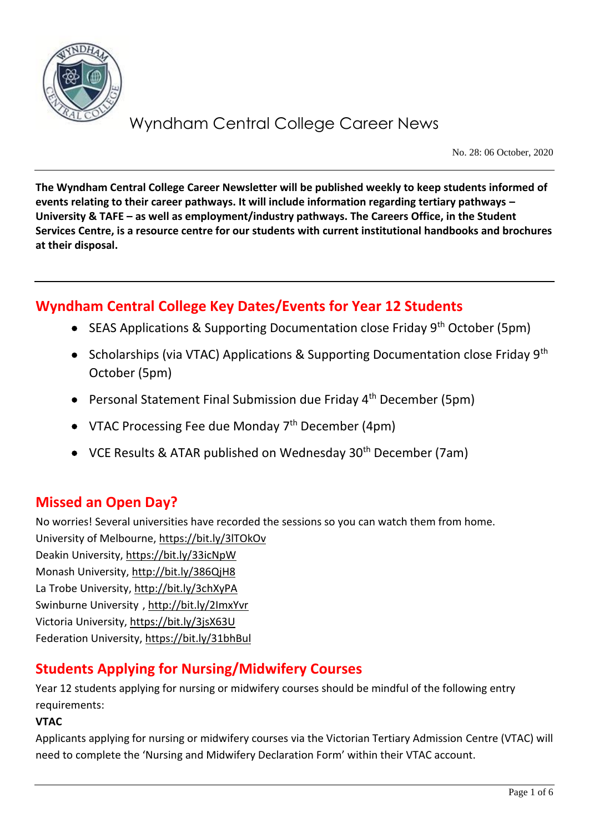

No. 28: 06 October, 2020

**The Wyndham Central College Career Newsletter will be published weekly to keep students informed of events relating to their career pathways. It will include information regarding tertiary pathways – University & TAFE – as well as employment/industry pathways. The Careers Office, in the Student Services Centre, is a resource centre for our students with current institutional handbooks and brochures at their disposal.**

# **Wyndham Central College Key Dates/Events for Year 12 Students**

- SEAS Applications & Supporting Documentation close Friday  $9<sup>th</sup>$  October (5pm)
- Scholarships (via VTAC) Applications & Supporting Documentation close Friday 9<sup>th</sup> October (5pm)
- Personal Statement Final Submission due Friday  $4<sup>th</sup>$  December (5pm)
- VTAC Processing Fee due Monday  $7<sup>th</sup>$  December (4pm)
- VCE Results & ATAR published on Wednesday  $30<sup>th</sup>$  December (7am)

# **Missed an Open Day?**

No worries! Several universities have recorded the sessions so you can watch them from home. University of Melbourne[, https://bit.ly/3lTOkOv](https://bit.ly/3lTOkOv) Deakin University,<https://bit.ly/33icNpW> Monash University,<http://bit.ly/386QjH8> La Trobe University,<http://bit.ly/3chXyPA> Swinburne University [, http://bit.ly/2ImxYvr](http://bit.ly/2ImxYvr) Victoria University,<https://bit.ly/3jsX63U> Federation University[, https://bit.ly/31bhBul](https://bit.ly/31bhBul)

# **Students Applying for Nursing/Midwifery Courses**

Year 12 students applying for nursing or midwifery courses should be mindful of the following entry requirements:

#### **VTAC**

Applicants applying for nursing or midwifery courses via the Victorian Tertiary Admission Centre (VTAC) will need to complete the 'Nursing and Midwifery Declaration Form' within their VTAC account.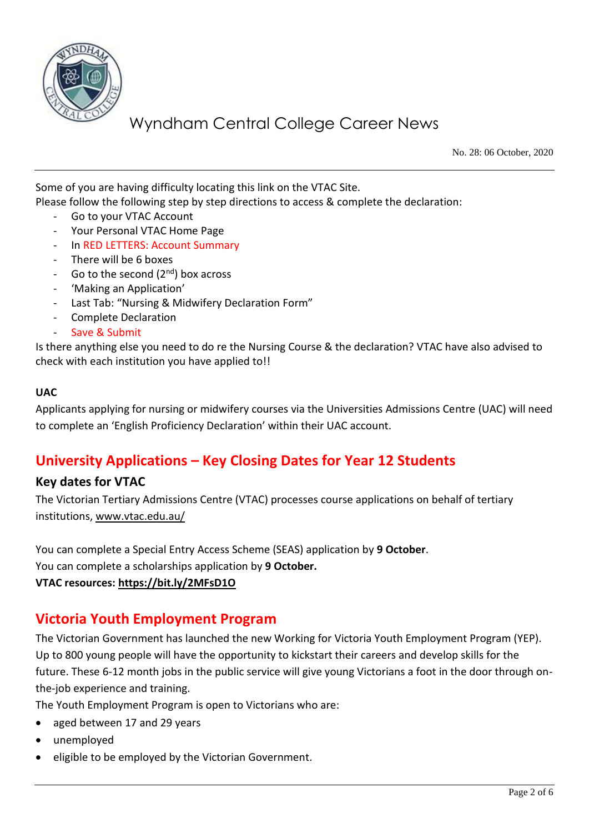

No. 28: 06 October, 2020

Some of you are having difficulty locating this link on the VTAC Site.

Please follow the following step by step directions to access & complete the declaration:

- Go to your VTAC Account
- Your Personal VTAC Home Page
- In RED LETTERS: Account Summary
- There will be 6 boxes
- Go to the second  $(2<sup>nd</sup>)$  box across
- 'Making an Application'
- Last Tab: "Nursing & Midwifery Declaration Form"
- Complete Declaration
- Save & Submit

Is there anything else you need to do re the Nursing Course & the declaration? VTAC have also advised to check with each institution you have applied to!!

#### **UAC**

Applicants applying for nursing or midwifery courses via the Universities Admissions Centre (UAC) will need to complete an 'English Proficiency Declaration' within their UAC account.

# **University Applications – Key Closing Dates for Year 12 Students**

### **Key dates for VTAC**

The Victorian Tertiary Admissions Centre (VTAC) processes course applications on behalf of tertiary institutions[, www.vtac.edu.au/](http://www.vtac.edu.au/)

You can complete a Special Entry Access Scheme (SEAS) application by **9 October**.

You can complete a scholarships application by **9 October.**

**VTAC resources:<https://bit.ly/2MFsD1O>**

# **Victoria Youth Employment Program**

The Victorian Government has launched the new Working for Victoria Youth Employment Program (YEP). Up to 800 young people will have the opportunity to kickstart their careers and develop skills for the future. These 6-12 month jobs in the public service will give young Victorians a foot in the door through onthe-job experience and training.

The Youth Employment Program is open to Victorians who are:

- aged between 17 and 29 years
- unemployed
- eligible to be employed by the Victorian Government.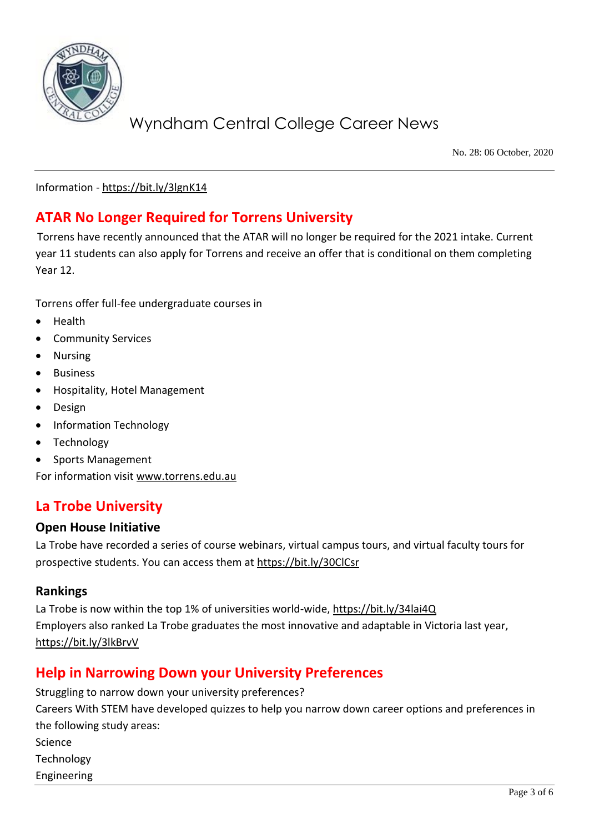

No. 28: 06 October, 2020

Information - <https://bit.ly/3lgnK14>

# **ATAR No Longer Required for Torrens University**

Torrens have recently announced that the ATAR will no longer be required for the 2021 intake. Current year 11 students can also apply for Torrens and receive an offer that is conditional on them completing Year 12.

Torrens offer full-fee undergraduate courses in

- Health
- Community Services
- Nursing
- **Business**
- Hospitality, Hotel Management
- Design
- Information Technology
- Technology
- Sports Management

For information visit [www.torrens.edu.au](http://www.torrens.edu.au/)

# **La Trobe University**

### **Open House Initiative**

La Trobe have recorded a series of course webinars, virtual campus tours, and virtual faculty tours for prospective students. You can access them at<https://bit.ly/30ClCsr>

#### **Rankings**

La Trobe is now within the top 1% of universities world-wide,<https://bit.ly/34lai4Q> Employers also ranked La Trobe graduates the most innovative and adaptable in Victoria last year, <https://bit.ly/3lkBrvV>

# **Help in Narrowing Down your University Preferences**

Struggling to narrow down your university preferences? Careers With STEM have developed quizzes to help you narrow down career options and preferences in the following study areas: Science Technology Engineering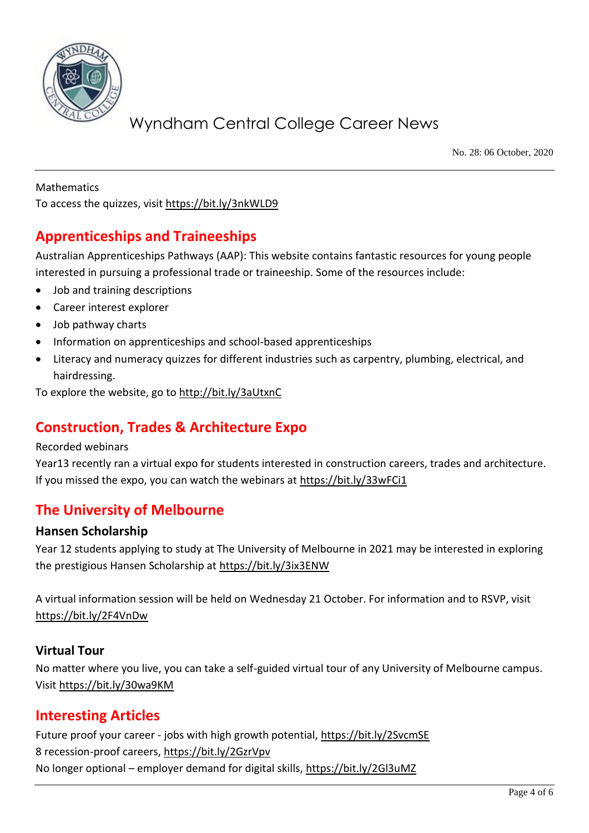

No. 28: 06 October, 2020

Mathematics To access the quizzes, visit<https://bit.ly/3nkWLD9>

# **Apprenticeships and Traineeships**

Australian Apprenticeships Pathways (AAP): This website contains fantastic resources for young people interested in pursuing a professional trade or traineeship. Some of the resources include:

- Job and training descriptions
- Career interest explorer
- Job pathway charts
- Information on apprenticeships and school-based apprenticeships
- Literacy and numeracy quizzes for different industries such as carpentry, plumbing, electrical, and hairdressing.

To explore the website, go to<http://bit.ly/3aUtxnC>

# **Construction, Trades & Architecture Expo**

#### Recorded webinars

Year13 recently ran a virtual expo for students interested in construction careers, trades and architecture. If you missed the expo, you can watch the webinars at<https://bit.ly/33wFCi1>

# **The University of Melbourne**

### **Hansen Scholarship**

Year 12 students applying to study at The University of Melbourne in 2021 may be interested in exploring the prestigious Hansen Scholarship at<https://bit.ly/3ix3ENW>

A virtual information session will be held on Wednesday 21 October. For information and to RSVP, visit <https://bit.ly/2F4VnDw>

### **Virtual Tour**

No matter where you live, you can take a self-guided virtual tour of any University of Melbourne campus. Visi[t https://bit.ly/30wa9KM](https://bit.ly/30wa9KM)

# **Interesting Articles**

Future proof your career - jobs with high growth potential,<https://bit.ly/2SvcmSE> 8 recession-proof careers,<https://bit.ly/2GzrVpv> No longer optional – employer demand for digital skills,<https://bit.ly/2Gl3uMZ>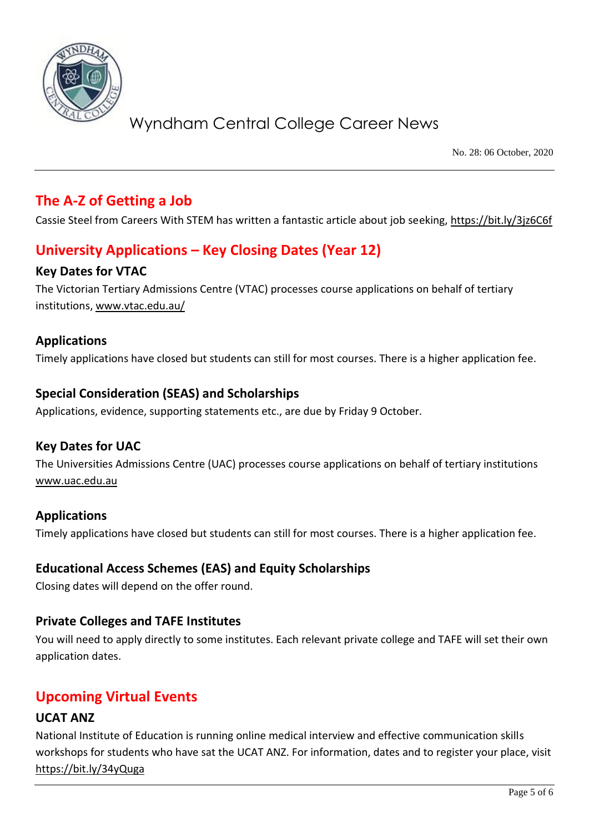

No. 28: 06 October, 2020

# **The A-Z of Getting a Job**

Cassie Steel from Careers With STEM has written a fantastic article about job seeking,<https://bit.ly/3jz6C6f>

# **University Applications – Key Closing Dates (Year 12)**

## **Key Dates for VTAC**

The Victorian Tertiary Admissions Centre (VTAC) processes course applications on behalf of tertiary institutions[, www.vtac.edu.au/](http://www.vtac.edu.au/)

## **Applications**

Timely applications have closed but students can still for most courses. There is a higher application fee.

## **Special Consideration (SEAS) and Scholarships**

Applications, evidence, supporting statements etc., are due by Friday 9 October.

### **Key Dates for UAC**

The Universities Admissions Centre (UAC) processes course applications on behalf of tertiary institutions [www.uac.edu.au](http://www.uac.edu.au/)

### **Applications**

Timely applications have closed but students can still for most courses. There is a higher application fee.

## **Educational Access Schemes (EAS) and Equity Scholarships**

Closing dates will depend on the offer round.

### **Private Colleges and TAFE Institutes**

You will need to apply directly to some institutes. Each relevant private college and TAFE will set their own application dates.

# **Upcoming Virtual Events**

### **UCAT ANZ**

National Institute of Education is running online medical interview and effective communication skills workshops for students who have sat the UCAT ANZ. For information, dates and to register your place, visit <https://bit.ly/34yQuga>